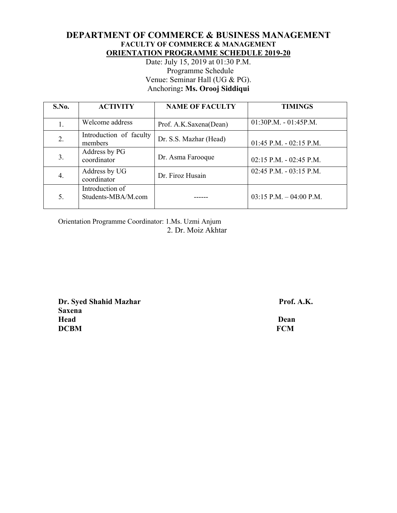Date: July 15, 2019 at 01:30 P.M. Programme Schedule Venue: Seminar Hall (UG & PG). Anchoring**: Ms. Orooj Siddiqui**

| S.No. | <b>ACTIVITY</b>                       | <b>NAME OF FACULTY</b> | <b>TIMINGS</b>             |
|-------|---------------------------------------|------------------------|----------------------------|
| 1.    | Welcome address                       | Prof. A.K.Saxena(Dean) | $01:30P.M. - 01:45P.M.$    |
| 2.    | Introduction of faculty<br>members    | Dr. S.S. Mazhar (Head) | $01:45$ P.M. - 02:15 P.M.  |
| 3.    | Address by PG<br>coordinator          | Dr. Asma Farooque      | 02:15 P.M. - 02:45 P.M.    |
| 4.    | Address by UG<br>coordinator          | Dr. Firoz Husain       | 02:45 P.M. - 03:15 P.M.    |
| 5.    | Introduction of<br>Students-MBA/M.com |                        | $03:15$ P.M. $-04:00$ P.M. |

Orientation Programme Coordinator: 1.Ms. Uzmi Anjum 2. Dr. Moiz Akhtar

**Dr. Syed Shahid Mazhar Prof. A.K. Prof. A.K. Saxena Head Dean DCBM FCM**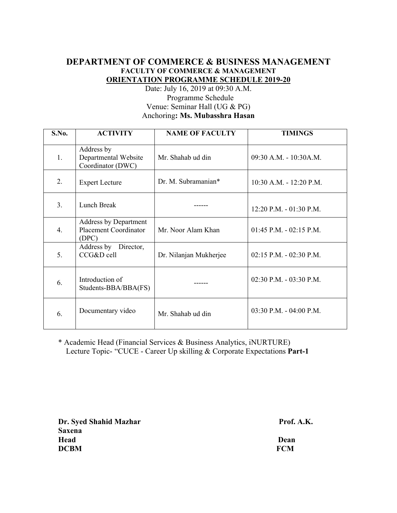Date: July 16, 2019 at 09:30 A.M. Programme Schedule Venue: Seminar Hall (UG & PG) Anchoring**: Ms. Mubasshra Hasan**

| S.No.            | <b>ACTIVITY</b>                                                       | <b>NAME OF FACULTY</b> | <b>TIMINGS</b>              |
|------------------|-----------------------------------------------------------------------|------------------------|-----------------------------|
| 1.               | Address by<br>Departmental Website<br>Coordinator (DWC)               | Mr. Shahab ud din      | 09:30 A.M. - 10:30A.M.      |
| 2.               | <b>Expert Lecture</b>                                                 | Dr M Subramanian*      | 10:30 A.M. - 12:20 P.M.     |
| 3.               | Lunch Break                                                           |                        | $12:20$ P.M. $- 01:30$ P.M. |
| $\overline{4}$ . | <b>Address by Department</b><br><b>Placement Coordinator</b><br>(DPC) | Mr Noor Alam Khan      | $01:45$ P.M. - 02:15 P.M.   |
| 5.               | Address by Director,<br>CCG&D cell                                    | Dr. Nilanjan Mukherjee | 02:15 P.M. - 02:30 P.M.     |
| 6.               | Introduction of<br>Students-BBA/BBA(FS)                               |                        | $02:30$ P.M. - $03:30$ P.M. |
| 6                | Documentary video                                                     | Mr. Shahab ud din      | $03:30$ P.M. $-04:00$ P.M.  |

\* Academic Head (Financial Services & Business Analytics, iNURTURE) Lecture Topic- "CUCE - Career Up skilling & Corporate Expectations **Part-1**

**Dr. Syed Shahid Mazhar Prof. A.K. Prof. A.K. Saxena Head Dean DCBM FCM**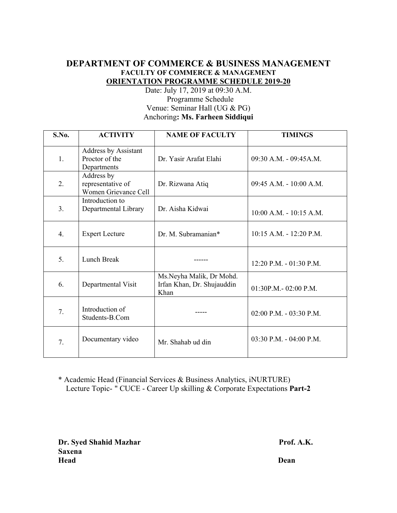Date: July 17, 2019 at 09:30 A.M. Programme Schedule Venue: Seminar Hall (UG & PG) Anchoring**: Ms. Farheen Siddiqui**

| S.No.            | <b>ACTIVITY</b>                                              | <b>NAME OF FACULTY</b>                                         | <b>TIMINGS</b>              |
|------------------|--------------------------------------------------------------|----------------------------------------------------------------|-----------------------------|
| 1.               | <b>Address by Assistant</b><br>Proctor of the<br>Departments | Dr. Yasir Arafat Elahi                                         | 09:30 A.M. - 09:45A.M.      |
| 2.               | Address by<br>representative of<br>Women Grievance Cell      | Dr. Rizwana Atiq                                               | $09:45$ A.M. - $10:00$ A.M. |
| 3.               | Introduction to<br>Departmental Library                      | Dr. Aisha Kidwai                                               | $10:00$ A.M. $- 10:15$ A.M. |
| $\overline{4}$ . | <b>Expert Lecture</b>                                        | Dr. M. Subramanian*                                            | $10:15$ A.M. $- 12:20$ P.M. |
| 5.               | Lunch Break                                                  |                                                                | $12:20$ P.M. - 01:30 P.M.   |
| 6.               | Departmental Visit                                           | Ms.Neyha Malik, Dr Mohd.<br>Irfan Khan, Dr. Shujauddin<br>Khan | $01:30P.M.-02:00 P.M.$      |
| 7.               | Introduction of<br>Students-B.Com                            |                                                                | $02:00$ P.M. - $03:30$ P.M. |
| 7.               | Documentary video                                            | Mr. Shahab ud din                                              | 03:30 P.M. - 04:00 P.M.     |

\* Academic Head (Financial Services & Business Analytics, iNURTURE) Lecture Topic- " CUCE - Career Up skilling & Corporate Expectations **Part-2**

**Dr. Syed Shahid Mazhar Prof. A.K. Prof. A.K. Saxena Head Dean**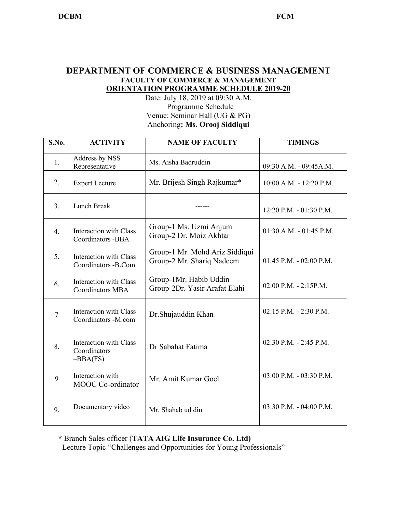Date: July 18, 2019 at 09:30 A.M. Programme Schedule Venue: Seminar Hall (UG & PG) Anchoring**: Ms. Orooj Siddiqui**

| S.No.            | <b>ACTIVITY</b>                                             | <b>NAME OF FACULTY</b>                                      | <b>TIMINGS</b>              |
|------------------|-------------------------------------------------------------|-------------------------------------------------------------|-----------------------------|
| 1.               | Address by NSS<br>Representative                            | Ms. Aisha Badruddin                                         | 09:30 A.M. - 09:45A.M.      |
| 2.               | <b>Expert Lecture</b>                                       | Mr. Brijesh Singh Rajkumar*                                 | 10:00 A.M. - 12:20 P.M.     |
| 3.               | Lunch Break                                                 |                                                             | 12:20 P.M. - 01:30 P.M.     |
| $\overline{4}$ . | Interaction with Class<br>Coordinators -BBA                 | Group-1 Ms. Uzmi Anjum<br>Group-2 Dr. Moiz Akhtar           | $01:30$ A.M. - $01:45$ P.M. |
| 5.               | <b>Interaction with Class</b><br>Coordinators -B.Com        | Group-1 Mr. Mohd Ariz Siddiqui<br>Group-2 Mr. Shariq Nadeem | 01:45 P.M. - 02:00 P.M.     |
| 6.               | <b>Interaction with Class</b><br><b>Coordinators MBA</b>    | Group-1Mr. Habib Uddin<br>Group-2Dr. Yasir Arafat Elahi     | 02:00 P.M. - 2:15P.M.       |
| $\overline{7}$   | <b>Interaction with Class</b><br>Coordinators -M.com        | Dr.Shujauddin Khan                                          | 02:15 P.M. - 2:30 P.M.      |
| 8.               | <b>Interaction with Class</b><br>Coordinators<br>$-BBA(FS)$ | Dr Sabahat Fatima                                           | 02:30 P.M. - 2:45 P.M.      |
| 9                | Interaction with<br><b>MOOC</b> Co-ordinator                | Mr. Amit Kumar Goel                                         | 03:00 P.M. - 03:30 P.M.     |
| 9.               | Documentary video                                           | Mr. Shahab ud din                                           | $03:30$ P.M. - $04:00$ P.M. |

**\*** Branch Sales officer (**TATA AIG Life Insurance Co. Ltd)**

Lecture Topic "Challenges and Opportunities for Young Professionals"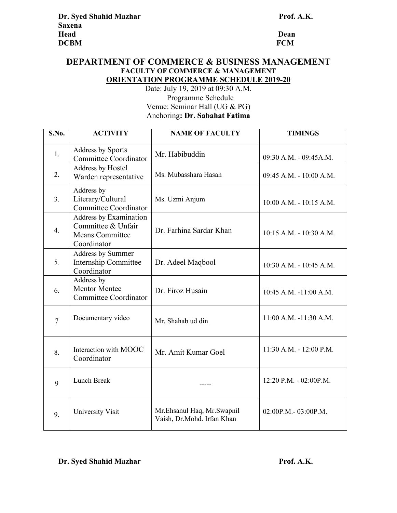Date: July 19, 2019 at 09:30 A.M. Programme Schedule Venue: Seminar Hall (UG & PG) Anchoring**: Dr. Sabahat Fatima**

| S.No.          | <b>ACTIVITY</b>                                                                       | <b>NAME OF FACULTY</b>                                   | <b>TIMINGS</b>              |
|----------------|---------------------------------------------------------------------------------------|----------------------------------------------------------|-----------------------------|
| 1.             | <b>Address by Sports</b><br><b>Committee Coordinator</b>                              | Mr. Habibuddin                                           | 09:30 A.M. - 09:45A.M.      |
| 2.             | Address by Hostel<br>Warden representative                                            | Ms. Mubasshara Hasan                                     | 09:45 A.M. - 10:00 A.M.     |
| 3 <sub>1</sub> | Address by<br>Literary/Cultural<br><b>Committee Coordinator</b>                       | Ms. Uzmi Anjum                                           | $10:00$ A.M. - $10:15$ A.M. |
| 4.             | Address by Examination<br>Committee & Unfair<br><b>Means Committee</b><br>Coordinator | Dr. Farhina Sardar Khan                                  | $10:15$ A.M. - $10:30$ A.M. |
| 5.             | Address by Summer<br>Internship Committee<br>Coordinator                              | Dr. Adeel Maqbool                                        | $10:30$ A.M. $-10:45$ A.M.  |
| 6.             | Address by<br><b>Mentor Mentee</b><br><b>Committee Coordinator</b>                    | Dr. Firoz Husain                                         | 10:45 A.M. -11:00 A.M.      |
| $\overline{7}$ | Documentary video                                                                     | Mr. Shahab ud din                                        | 11:00 A.M. -11:30 A.M.      |
| 8.             | Interaction with MOOC<br>Coordinator                                                  | Mr. Amit Kumar Goel                                      | $11:30$ A.M. - $12:00$ P.M. |
| 9              | Lunch Break                                                                           |                                                          | 12:20 P.M. - 02:00P.M.      |
| 9.             | University Visit                                                                      | Mr.Ehsanul Haq, Mr.Swapnil<br>Vaish, Dr.Mohd. Irfan Khan | $02:00P.M.-03:00P.M.$       |

#### **Dr. Syed Shahid Mazhar Prof. A.K. Prof. A.K.**